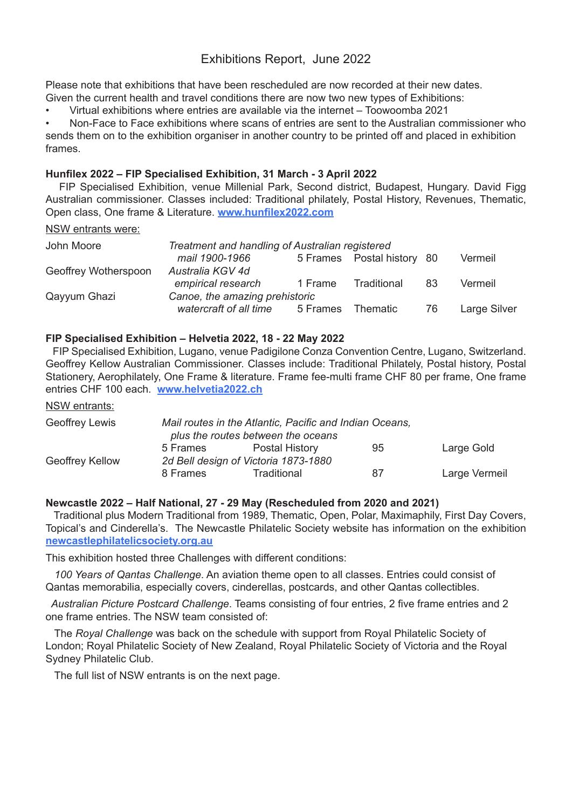# Exhibitions Report, June 2022

Please note that exhibitions that have been rescheduled are now recorded at their new dates. Given the current health and travel conditions there are now two new types of Exhibitions:

• Virtual exhibitions where entries are available via the internet – Toowoomba 2021

Non-Face to Face exhibitions where scans of entries are sent to the Australian commissioner who sends them on to the exhibition organiser in another country to be printed off and placed in exhibition frames.

#### **Hunfilex 2022 – FIP Specialised Exhibition, 31 March - 3 April 2022**

 FIP Specialised Exhibition, venue Millenial Park, Second district, Budapest, Hungary. David Figg Australian commissioner. Classes included: Traditional philately, Postal History, Revenues, Thematic, Open class, One frame & Literature. **www.hunfilex2022.com**

#### NSW entrants were:

| John Moore           | Treatment and handling of Australian registered |          |                            |     |                     |
|----------------------|-------------------------------------------------|----------|----------------------------|-----|---------------------|
|                      | mail 1900-1966                                  |          | 5 Frames Postal history 80 |     | Vermeil             |
| Geoffrey Wotherspoon | Australia KGV 4d                                |          |                            |     |                     |
|                      | empirical research                              | 1 Frame  | Traditional                | 83  | Vermeil             |
| Qayyum Ghazi         | Canoe, the amazing prehistoric                  |          |                            |     |                     |
|                      | watercraft of all time                          | 5 Frames | Thematic                   | -76 | <b>Large Silver</b> |

## **FIP Specialised Exhibition – Helvetia 2022, 18 - 22 May 2022**

 FIP Specialised Exhibition, Lugano, venue Padigilone Conza Convention Centre, Lugano, Switzerland. Geoffrey Kellow Australian Commissioner. Classes include: Traditional Philately, Postal history, Postal Stationery, Aerophilately, One Frame & literature. Frame fee-multi frame CHF 80 per frame, One frame entries CHF 100 each. **www.helvetia2022.ch**

NSW entrants:

| Geoffrey Lewis  |                                      | Mail routes in the Atlantic, Pacific and Indian Oceans, |    |               |
|-----------------|--------------------------------------|---------------------------------------------------------|----|---------------|
|                 |                                      | plus the routes between the oceans                      |    |               |
|                 | 5 Frames                             | <b>Postal History</b>                                   | 95 | Large Gold    |
| Geoffrey Kellow | 2d Bell design of Victoria 1873-1880 |                                                         |    |               |
|                 | 8 Frames                             | Traditional                                             | 87 | Large Vermeil |

#### **Newcastle 2022 – Half National, 27 - 29 May (Rescheduled from 2020 and 2021)**

 Traditional plus Modern Traditional from 1989, Thematic, Open, Polar, Maximaphily, First Day Covers, Topical's and Cinderella's. The Newcastle Philatelic Society website has information on the exhibition **newcastlephilatelicsociety.org.au**

This exhibition hosted three Challenges with different conditions:

 *100 Years of Qantas Challenge*. An aviation theme open to all classes. Entries could consist of Qantas memorabilia, especially covers, cinderellas, postcards, and other Qantas collectibles.

 *Australian Picture Postcard Challenge*. Teams consisting of four entries, 2 five frame entries and 2 one frame entries. The NSW team consisted of:

 The *Royal Challenge* was back on the schedule with support from Royal Philatelic Society of London; Royal Philatelic Society of New Zealand, Royal Philatelic Society of Victoria and the Royal Sydney Philatelic Club.

The full list of NSW entrants is on the next page.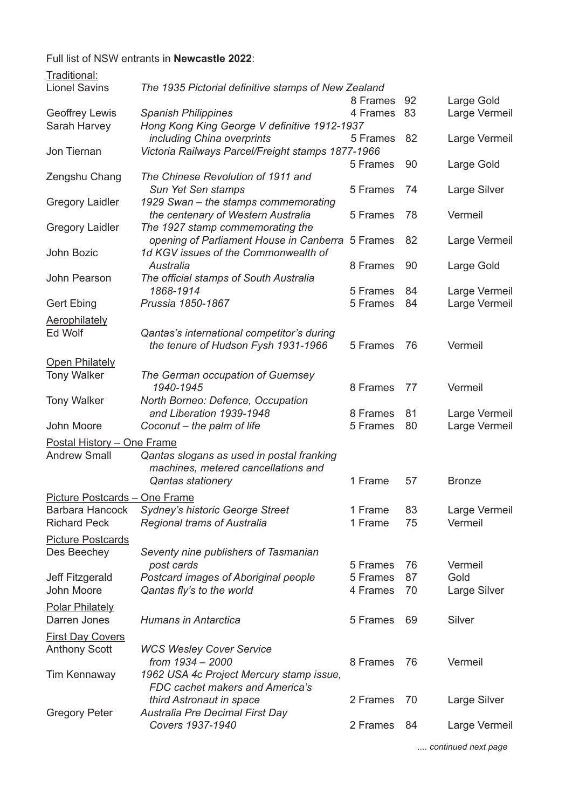Full list of NSW entrants in **Newcastle 2022**:

| Traditional:                  |                                                     |          |    |               |
|-------------------------------|-----------------------------------------------------|----------|----|---------------|
| <b>Lionel Savins</b>          | The 1935 Pictorial definitive stamps of New Zealand |          |    |               |
|                               |                                                     | 8 Frames | 92 | Large Gold    |
| <b>Geoffrey Lewis</b>         | <b>Spanish Philippines</b>                          | 4 Frames | 83 | Large Vermeil |
| Sarah Harvey                  | Hong Kong King George V definitive 1912-1937        |          |    |               |
|                               | including China overprints                          | 5 Frames | 82 | Large Vermeil |
| Jon Tiernan                   | Victoria Railways Parcel/Freight stamps 1877-1966   |          |    |               |
|                               |                                                     | 5 Frames | 90 | Large Gold    |
| Zengshu Chang                 | The Chinese Revolution of 1911 and                  |          |    |               |
|                               | Sun Yet Sen stamps                                  | 5 Frames | 74 | Large Silver  |
| <b>Gregory Laidler</b>        | 1929 Swan - the stamps commemorating                |          |    |               |
|                               | the centenary of Western Australia                  | 5 Frames | 78 | Vermeil       |
| <b>Gregory Laidler</b>        | The 1927 stamp commemorating the                    |          |    |               |
|                               | opening of Parliament House in Canberra             | 5 Frames | 82 | Large Vermeil |
| John Bozic                    | 1d KGV issues of the Commonwealth of                |          |    |               |
|                               | Australia                                           | 8 Frames | 90 | Large Gold    |
| John Pearson                  | The official stamps of South Australia              |          |    |               |
|                               | 1868-1914                                           | 5 Frames | 84 | Large Vermeil |
| <b>Gert Ebing</b>             | Prussia 1850-1867                                   | 5 Frames | 84 | Large Vermeil |
| <b>Aerophilately</b>          |                                                     |          |    |               |
| Ed Wolf                       | Qantas's international competitor's during          |          |    |               |
|                               | the tenure of Hudson Fysh 1931-1966                 | 5 Frames | 76 | Vermeil       |
|                               |                                                     |          |    |               |
| <b>Open Philately</b>         |                                                     |          |    |               |
| <b>Tony Walker</b>            | The German occupation of Guernsey                   |          |    |               |
|                               | 1940-1945                                           | 8 Frames | 77 | Vermeil       |
| <b>Tony Walker</b>            | North Borneo: Defence, Occupation                   |          |    |               |
|                               | and Liberation 1939-1948                            | 8 Frames | 81 | Large Vermeil |
| John Moore                    | Coconut - the palm of life                          | 5 Frames | 80 | Large Vermeil |
| Postal History - One Frame    |                                                     |          |    |               |
| <b>Andrew Small</b>           | Qantas slogans as used in postal franking           |          |    |               |
|                               | machines, metered cancellations and                 |          |    |               |
|                               | <b>Qantas stationery</b>                            | 1 Frame  | 57 | <b>Bronze</b> |
| Picture Postcards - One Frame |                                                     |          |    |               |
| <b>Barbara Hancock</b>        | Sydney's historic George Street                     | 1 Frame  | 83 | Large Vermeil |
| <b>Richard Peck</b>           | <b>Regional trams of Australia</b>                  | 1 Frame  | 75 | Vermeil       |
|                               |                                                     |          |    |               |
| <b>Picture Postcards</b>      |                                                     |          |    |               |
| Des Beechey                   | Seventy nine publishers of Tasmanian                |          |    |               |
|                               | post cards                                          | 5 Frames | 76 | Vermeil       |
| <b>Jeff Fitzgerald</b>        | Postcard images of Aboriginal people                | 5 Frames | 87 | Gold          |
| John Moore                    | Qantas fly's to the world                           | 4 Frames | 70 | Large Silver  |
| <b>Polar Philately</b>        |                                                     |          |    |               |
| Darren Jones                  | <b>Humans in Antarctica</b>                         | 5 Frames | 69 | Silver        |
|                               |                                                     |          |    |               |
| <b>First Day Covers</b>       |                                                     |          |    |               |
| <b>Anthony Scott</b>          | <b>WCS Wesley Cover Service</b><br>from 1934 - 2000 | 8 Frames | 76 | Vermeil       |
|                               |                                                     |          |    |               |
| <b>Tim Kennaway</b>           | 1962 USA 4c Project Mercury stamp issue,            |          |    |               |
|                               | FDC cachet makers and America's                     |          |    |               |
|                               | third Astronaut in space                            | 2 Frames | 70 | Large Silver  |
| <b>Gregory Peter</b>          | Australia Pre Decimal First Day<br>Covers 1937-1940 | 2 Frames | 84 |               |
|                               |                                                     |          |    | Large Vermeil |
|                               |                                                     |          |    |               |

 *.... continued next page*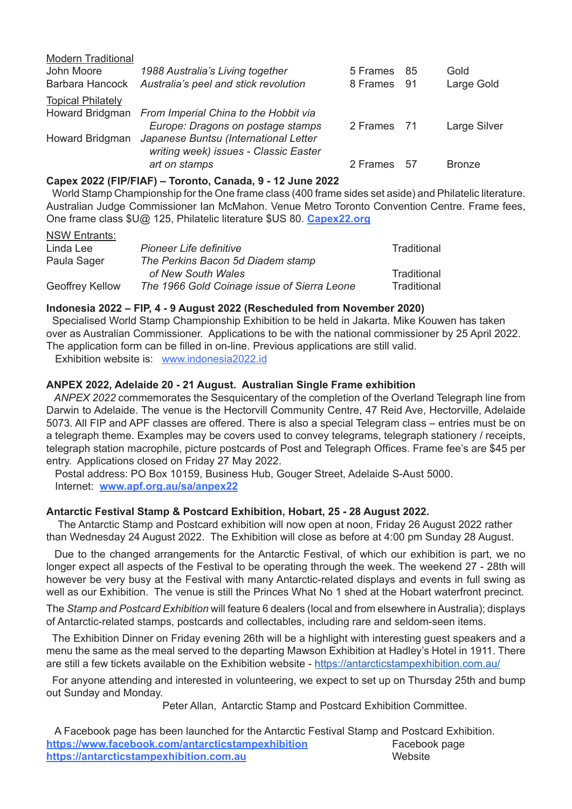| <b>Modern Traditional</b> |                                                                                |             |      |               |
|---------------------------|--------------------------------------------------------------------------------|-------------|------|---------------|
| John Moore                | 1988 Australia's Living together                                               | 5 Frames    | 85   | Gold          |
| Barbara Hancock           | Australia's peel and stick revolution                                          | 8 Frames    | - 91 | Large Gold    |
| <b>Topical Philately</b>  |                                                                                |             |      |               |
|                           | Howard Bridgman From Imperial China to the Hobbit via                          |             |      |               |
|                           | Europe: Dragons on postage stamps                                              | 2 Frames 71 |      | Large Silver  |
| Howard Bridgman           | Japanese Buntsu (International Letter<br>writing week) issues - Classic Easter |             |      |               |
|                           | art on stamps                                                                  | 2 Frames    | -57  | <b>Bronze</b> |

#### **Capex 2022 (FIP/FIAF) – Toronto, Canada, 9 - 12 June 2022**

 World Stamp Championship for the One frame class (400 frame sides set aside) and Philatelic literature. Australian Judge Commissioner Ian McMahon. Venue Metro Toronto Convention Centre. Frame fees, One frame class \$U@ 125, Philatelic literature \$US 80. **Capex22.org**

#### NSW Entrants: Linda Lee *Pioneer Life definitive* Traditional Paula Sager *The Perkins Bacon 5d Diadem stamp* of New South Wales **by Contact Contact Contact Contact Contact Contact Contact Contact Contact Contact Contact Contact Contact Contact Contact Contact Contact Contact Contact Contact Contact Contact Contact Contact Contact** Geoffrey Kellow *The 1966 Gold Coinage issue of Sierra Leone* Traditional

## **Indonesia 2022 – FIP, 4 - 9 August 2022 (Rescheduled from November 2020)**

 Specialised World Stamp Championship Exhibition to be held in Jakarta. Mike Kouwen has taken over as Australian Commissioner. Applications to be with the national commissioner by 25 April 2022. The application form can be filled in on-line. Previous applications are still valid.

Exhibition website is: www.indonesia2022.id

#### **ANPEX 2022, Adelaide 20 - 21 August. Australian Single Frame exhibition**

 *ANPEX 2022* commemorates the Sesquicentary of the completion of the Overland Telegraph line from Darwin to Adelaide. The venue is the Hectorvill Community Centre, 47 Reid Ave, Hectorville, Adelaide 5073. All FIP and APF classes are offered. There is also a special Telegram class – entries must be on a telegraph theme. Examples may be covers used to convey telegrams, telegraph stationery / receipts, telegraph station macrophile, picture postcards of Post and Telegraph Offices. Frame fee's are \$45 per entry. Applications closed on Friday 27 May 2022.

 Postal address: PO Box 10159, Business Hub, Gouger Street, Adelaide S-Aust 5000. Internet: **www.apf.org.au/sa/anpex22**

#### **Antarctic Festival Stamp & Postcard Exhibition, Hobart, 25 - 28 August 2022.**

 The Antarctic Stamp and Postcard exhibition will now open at noon, Friday 26 August 2022 rather than Wednesday 24 August 2022. The Exhibition will close as before at 4:00 pm Sunday 28 August.

 Due to the changed arrangements for the Antarctic Festival, of which our exhibition is part, we no longer expect all aspects of the Festival to be operating through the week. The weekend 27 - 28th will however be very busy at the Festival with many Antarctic-related displays and events in full swing as well as our Exhibition. The venue is still the Princes What No 1 shed at the Hobart waterfront precinct.

The *Stamp and Postcard Exhibition* will feature 6 dealers (local and from elsewhere in Australia); displays of Antarctic-related stamps, postcards and collectables, including rare and seldom-seen items.

 The Exhibition Dinner on Friday evening 26th will be a highlight with interesting guest speakers and a menu the same as the meal served to the departing Mawson Exhibition at Hadley's Hotel in 1911. There are still a few tickets available on the Exhibition website - https://antarcticstampexhibition.com.au/

 For anyone attending and interested in volunteering, we expect to set up on Thursday 25th and bump out Sunday and Monday.

Peter Allan, Antarctic Stamp and Postcard Exhibition Committee.

| A Facebook page has been launched for the Antarctic Festival Stamp and Postcard Exhibition. |               |
|---------------------------------------------------------------------------------------------|---------------|
| https://www.facebook.com/antarcticstampexhibition                                           | Facebook page |
| https://antarcticstampexhibition.com.au                                                     | Website       |